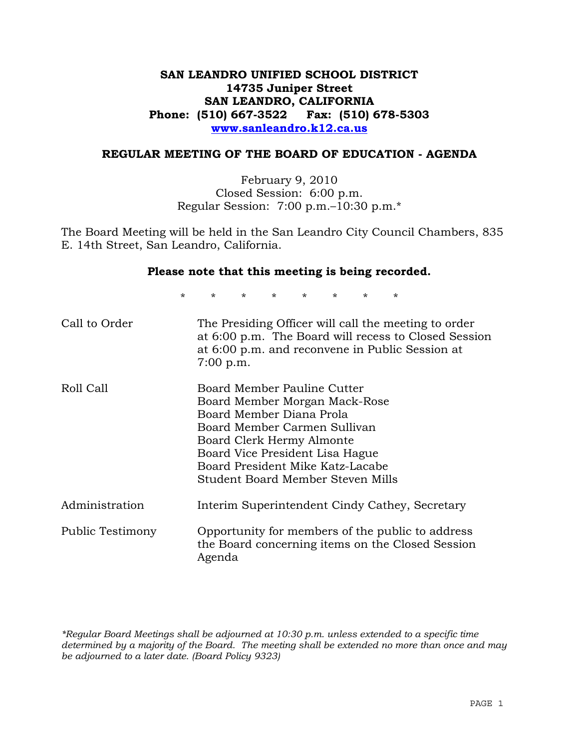# **SAN LEANDRO UNIFIED SCHOOL DISTRICT 14735 Juniper Street SAN LEANDRO, CALIFORNIA Phone: (510) 667-3522 Fax: (510) 678-5303 www.sanleandro.k12.ca.us**

#### **REGULAR MEETING OF THE BOARD OF EDUCATION - AGENDA**

February 9, 2010 Closed Session: 6:00 p.m. Regular Session: 7:00 p.m.–10:30 p.m.\*

The Board Meeting will be held in the San Leandro City Council Chambers, 835 E. 14th Street, San Leandro, California.

#### **Please note that this meeting is being recorded.**

\* \* \* \* \* \* \* \*

| Call to Order    | The Presiding Officer will call the meeting to order<br>at 6:00 p.m. The Board will recess to Closed Session<br>at 6:00 p.m. and reconvene in Public Session at<br>$7:00$ p.m.                                                                                    |
|------------------|-------------------------------------------------------------------------------------------------------------------------------------------------------------------------------------------------------------------------------------------------------------------|
| Roll Call        | Board Member Pauline Cutter<br>Board Member Morgan Mack-Rose<br>Board Member Diana Prola<br>Board Member Carmen Sullivan<br>Board Clerk Hermy Almonte<br>Board Vice President Lisa Hague<br>Board President Mike Katz-Lacabe<br>Student Board Member Steven Mills |
| Administration   | Interim Superintendent Cindy Cathey, Secretary                                                                                                                                                                                                                    |
| Public Testimony | Opportunity for members of the public to address<br>the Board concerning items on the Closed Session<br>Agenda                                                                                                                                                    |

*\*Regular Board Meetings shall be adjourned at 10:30 p.m. unless extended to a specific time determined by a majority of the Board. The meeting shall be extended no more than once and may be adjourned to a later date. (Board Policy 9323)*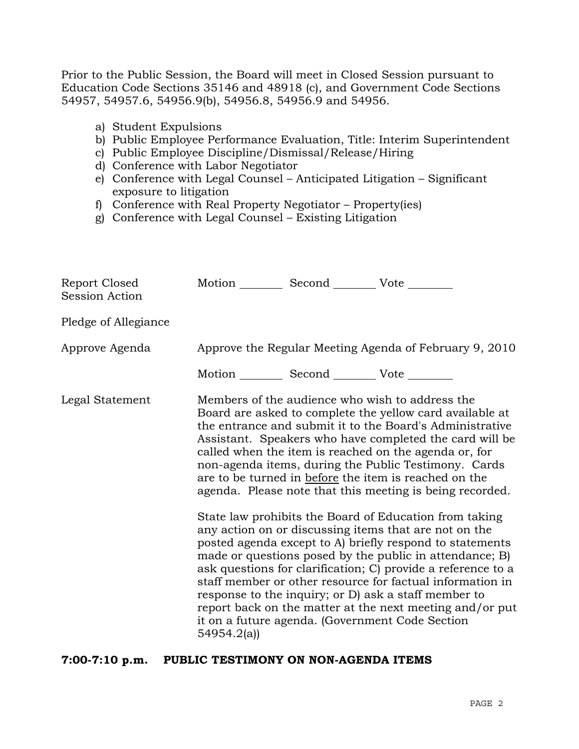Prior to the Public Session, the Board will meet in Closed Session pursuant to Education Code Sections 35146 and 48918 (c), and Government Code Sections 54957, 54957.6, 54956.9(b), 54956.8, 54956.9 and 54956.

- a) Student Expulsions
- b) Public Employee Performance Evaluation, Title: Interim Superintendent
- c) Public Employee Discipline/Dismissal/Release/Hiring
- d) Conference with Labor Negotiator
- e) Conference with Legal Counsel Anticipated Litigation Significant exposure to litigation
- f) Conference with Real Property Negotiator Property(ies)
- g) Conference with Legal Counsel Existing Litigation

| Report Closed<br>Session Action | Motion __________ Second __________ Vote ________ |                                                                                                                                                                                                                                                                                                                                                                                                                                                                                                                                                                                                                                                                                                                                                                                                                                                                                                                                                                                                                        |
|---------------------------------|---------------------------------------------------|------------------------------------------------------------------------------------------------------------------------------------------------------------------------------------------------------------------------------------------------------------------------------------------------------------------------------------------------------------------------------------------------------------------------------------------------------------------------------------------------------------------------------------------------------------------------------------------------------------------------------------------------------------------------------------------------------------------------------------------------------------------------------------------------------------------------------------------------------------------------------------------------------------------------------------------------------------------------------------------------------------------------|
| Pledge of Allegiance            |                                                   |                                                                                                                                                                                                                                                                                                                                                                                                                                                                                                                                                                                                                                                                                                                                                                                                                                                                                                                                                                                                                        |
| Approve Agenda                  |                                                   | Approve the Regular Meeting Agenda of February 9, 2010                                                                                                                                                                                                                                                                                                                                                                                                                                                                                                                                                                                                                                                                                                                                                                                                                                                                                                                                                                 |
|                                 | Motion __________ Second __________ Vote ________ |                                                                                                                                                                                                                                                                                                                                                                                                                                                                                                                                                                                                                                                                                                                                                                                                                                                                                                                                                                                                                        |
| Legal Statement                 | 54954.2(a)                                        | Members of the audience who wish to address the<br>Board are asked to complete the yellow card available at<br>the entrance and submit it to the Board's Administrative<br>Assistant. Speakers who have completed the card will be<br>called when the item is reached on the agenda or, for<br>non-agenda items, during the Public Testimony. Cards<br>are to be turned in before the item is reached on the<br>agenda. Please note that this meeting is being recorded.<br>State law prohibits the Board of Education from taking<br>any action on or discussing items that are not on the<br>posted agenda except to A) briefly respond to statements<br>made or questions posed by the public in attendance; B)<br>ask questions for clarification; C) provide a reference to a<br>staff member or other resource for factual information in<br>response to the inquiry; or D) ask a staff member to<br>report back on the matter at the next meeting and/or put<br>it on a future agenda. (Government Code Section |

#### **7:00-7:10 p.m. PUBLIC TESTIMONY ON NON-AGENDA ITEMS**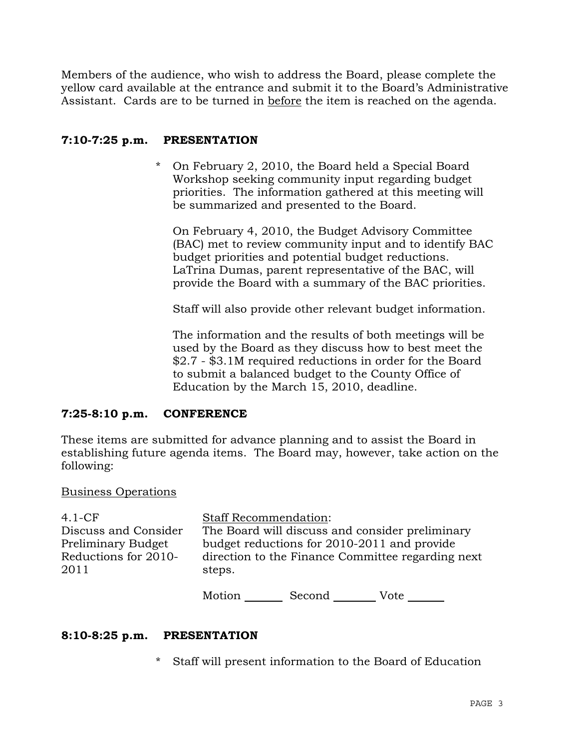Members of the audience, who wish to address the Board, please complete the yellow card available at the entrance and submit it to the Board's Administrative Assistant. Cards are to be turned in before the item is reached on the agenda.

## **7:10-7:25 p.m. PRESENTATION**

\* On February 2, 2010, the Board held a Special Board Workshop seeking community input regarding budget priorities. The information gathered at this meeting will be summarized and presented to the Board.

On February 4, 2010, the Budget Advisory Committee (BAC) met to review community input and to identify BAC budget priorities and potential budget reductions. LaTrina Dumas, parent representative of the BAC, will provide the Board with a summary of the BAC priorities.

Staff will also provide other relevant budget information.

The information and the results of both meetings will be used by the Board as they discuss how to best meet the \$2.7 - \$3.1M required reductions in order for the Board to submit a balanced budget to the County Office of Education by the March 15, 2010, deadline.

# **7:25-8:10 p.m. CONFERENCE**

These items are submitted for advance planning and to assist the Board in establishing future agenda items. The Board may, however, take action on the following:

### Business Operations

| 4.1-CF                                                                     | <b>Staff Recommendation:</b> |                                             |                                                                                                      |
|----------------------------------------------------------------------------|------------------------------|---------------------------------------------|------------------------------------------------------------------------------------------------------|
| Discuss and Consider<br>Preliminary Budget<br>Reductions for 2010-<br>2011 | steps.                       | budget reductions for 2010-2011 and provide | The Board will discuss and consider preliminary<br>direction to the Finance Committee regarding next |
|                                                                            | Motion                       | Second                                      | Vote                                                                                                 |

### **8:10-8:25 p.m. PRESENTATION**

\* Staff will present information to the Board of Education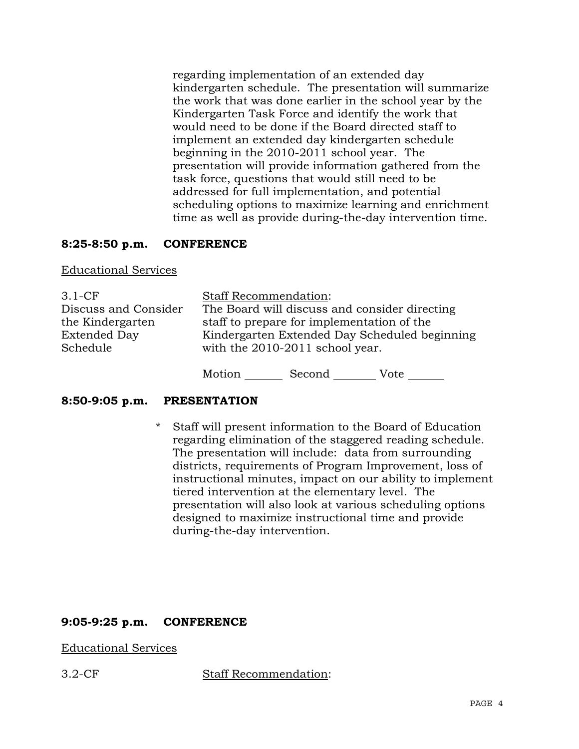regarding implementation of an extended day kindergarten schedule. The presentation will summarize the work that was done earlier in the school year by the Kindergarten Task Force and identify the work that would need to be done if the Board directed staff to implement an extended day kindergarten schedule beginning in the 2010-2011 school year. The presentation will provide information gathered from the task force, questions that would still need to be addressed for full implementation, and potential scheduling options to maximize learning and enrichment time as well as provide during-the-day intervention time.

## **8:25-8:50 p.m. CONFERENCE**

#### Educational Services

| $3.1-CF$             | <b>Staff Recommendation:</b>                  |
|----------------------|-----------------------------------------------|
| Discuss and Consider | The Board will discuss and consider directing |
| the Kindergarten     | staff to prepare for implementation of the    |
| <b>Extended Day</b>  | Kindergarten Extended Day Scheduled beginning |
| Schedule             | with the 2010-2011 school year.               |
|                      |                                               |

Motion Second Vote

### **8:50-9:05 p.m. PRESENTATION**

\* Staff will present information to the Board of Education regarding elimination of the staggered reading schedule. The presentation will include: data from surrounding districts, requirements of Program Improvement, loss of instructional minutes, impact on our ability to implement tiered intervention at the elementary level. The presentation will also look at various scheduling options designed to maximize instructional time and provide during-the-day intervention.

### **9:05-9:25 p.m. CONFERENCE**

### Educational Services

3.2-CF Staff Recommendation: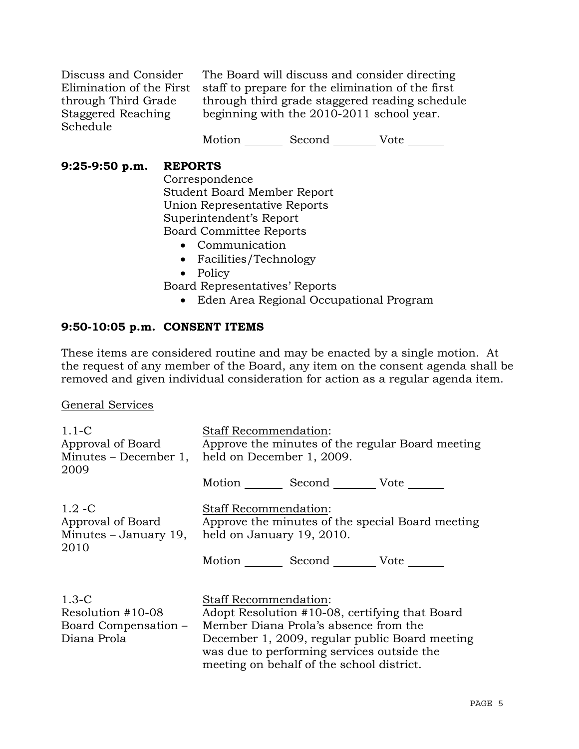Discuss and Consider Elimination of the First through Third Grade Staggered Reaching Schedule

The Board will discuss and consider directing staff to prepare for the elimination of the first through third grade staggered reading schedule beginning with the 2010-2011 school year.

Motion Second Vote \_\_\_\_\_\_\_

## **9:25-9:50 p.m. REPORTS**

 Correspondence Student Board Member Report Union Representative Reports Superintendent's Report Board Committee Reports

- Communication
- Facilities/Technology
- Policy

Board Representatives' Reports

• Eden Area Regional Occupational Program

### **9:50-10:05 p.m. CONSENT ITEMS**

These items are considered routine and may be enacted by a single motion. At the request of any member of the Board, any item on the consent agenda shall be removed and given individual consideration for action as a regular agenda item.

#### General Services

| $1.1 - C$<br>Approval of Board<br>Minutes $-$ December 1,<br>2009     | Staff Recommendation:<br>Approve the minutes of the regular Board meeting<br>held on December 1, 2009.                              |  |
|-----------------------------------------------------------------------|-------------------------------------------------------------------------------------------------------------------------------------|--|
|                                                                       | Motion _________ Second __________ Vote _______                                                                                     |  |
| $1.2 - C$<br>Approval of Board<br>2010                                | <b>Staff Recommendation:</b><br>Approve the minutes of the special Board meeting<br>Minutes – January 19, held on January 19, 2010. |  |
|                                                                       | Motion _________ Second _________ Vote _______                                                                                      |  |
|                                                                       |                                                                                                                                     |  |
| $1.3-C$                                                               | <b>Staff Recommendation:</b>                                                                                                        |  |
| Resolution $#10-08$<br>Adopt Resolution #10-08, certifying that Board |                                                                                                                                     |  |
| Board Compensation –                                                  | Member Diana Prola's absence from the                                                                                               |  |
| Diana Prola                                                           | December 1, 2009, regular public Board meeting<br>was due to performing services outside the                                        |  |
|                                                                       | meeting on behalf of the school district.                                                                                           |  |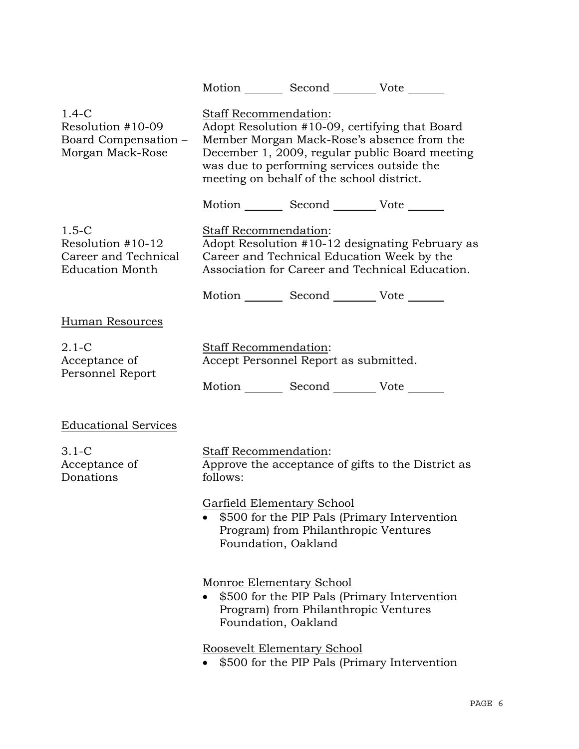|                                                                                |                                                 | Motion Second Vote                                                                      |                                                                                                                                                |
|--------------------------------------------------------------------------------|-------------------------------------------------|-----------------------------------------------------------------------------------------|------------------------------------------------------------------------------------------------------------------------------------------------|
| $1.4-C$<br>Resolution #10-09<br>Board Compensation -<br>Morgan Mack-Rose       | Staff Recommendation:                           | was due to performing services outside the<br>meeting on behalf of the school district. | Adopt Resolution #10-09, certifying that Board<br>Member Morgan Mack-Rose's absence from the<br>December 1, 2009, regular public Board meeting |
|                                                                                |                                                 | Motion _________ Second __________ Vote _______                                         |                                                                                                                                                |
| $1.5-C$<br>Resolution #10-12<br>Career and Technical<br><b>Education Month</b> | Staff Recommendation:                           | Career and Technical Education Week by the                                              | Adopt Resolution #10-12 designating February as<br>Association for Career and Technical Education.                                             |
|                                                                                |                                                 | Motion _________ Second __________ Vote _______                                         |                                                                                                                                                |
| Human Resources                                                                |                                                 |                                                                                         |                                                                                                                                                |
| $2.1 - C$<br>Acceptance of<br>Personnel Report                                 | Staff Recommendation:                           | Accept Personnel Report as submitted.<br>Motion _________ Second _________ Vote _______ |                                                                                                                                                |
| <b>Educational Services</b>                                                    |                                                 |                                                                                         |                                                                                                                                                |
| $3.1-C$<br>Acceptance of<br>Donations                                          | Staff Recommendation:<br>follows:               |                                                                                         | Approve the acceptance of gifts to the District as                                                                                             |
|                                                                                | Foundation, Oakland                             | Garfield Elementary School<br>Program) from Philanthropic Ventures                      | \$500 for the PIP Pals (Primary Intervention                                                                                                   |
|                                                                                | Monroe Elementary School<br>Foundation, Oakland | Program) from Philanthropic Ventures                                                    | \$500 for the PIP Pals (Primary Intervention                                                                                                   |
|                                                                                |                                                 | Roosevelt Elementary School                                                             | \$500 for the PIP Pals (Primary Intervention                                                                                                   |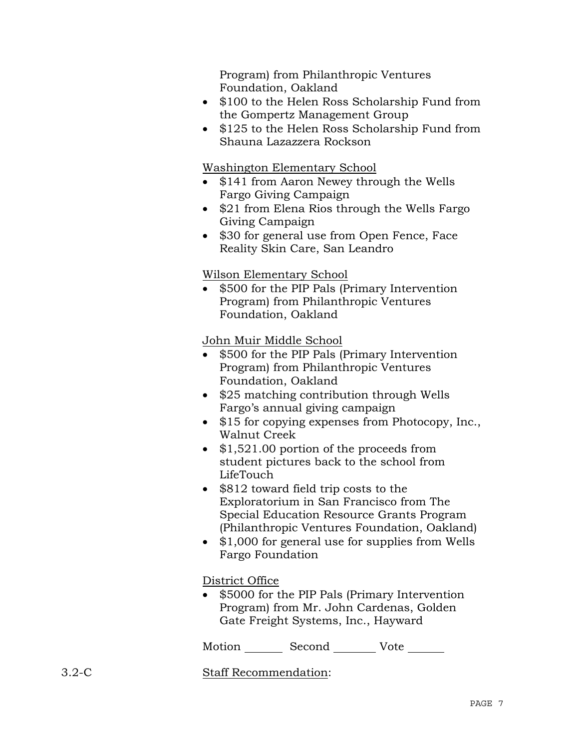Program) from Philanthropic Ventures Foundation, Oakland

- \$100 to the Helen Ross Scholarship Fund from the Gompertz Management Group
- \$125 to the Helen Ross Scholarship Fund from Shauna Lazazzera Rockson

Washington Elementary School

- \$141 from Aaron Newey through the Wells Fargo Giving Campaign
- \$21 from Elena Rios through the Wells Fargo Giving Campaign
- \$30 for general use from Open Fence, Face Reality Skin Care, San Leandro

# Wilson Elementary School

• \$500 for the PIP Pals (Primary Intervention Program) from Philanthropic Ventures Foundation, Oakland

John Muir Middle School

- \$500 for the PIP Pals (Primary Intervention Program) from Philanthropic Ventures Foundation, Oakland
- \$25 matching contribution through Wells Fargo's annual giving campaign
- \$15 for copying expenses from Photocopy, Inc., Walnut Creek
- \$1,521.00 portion of the proceeds from student pictures back to the school from LifeTouch
- \$812 toward field trip costs to the Exploratorium in San Francisco from The Special Education Resource Grants Program (Philanthropic Ventures Foundation, Oakland)
- \$1,000 for general use for supplies from Wells Fargo Foundation

District Office

• \$5000 for the PIP Pals (Primary Intervention Program) from Mr. John Cardenas, Golden Gate Freight Systems, Inc., Hayward

Motion Second Vote

3.2-C Staff Recommendation: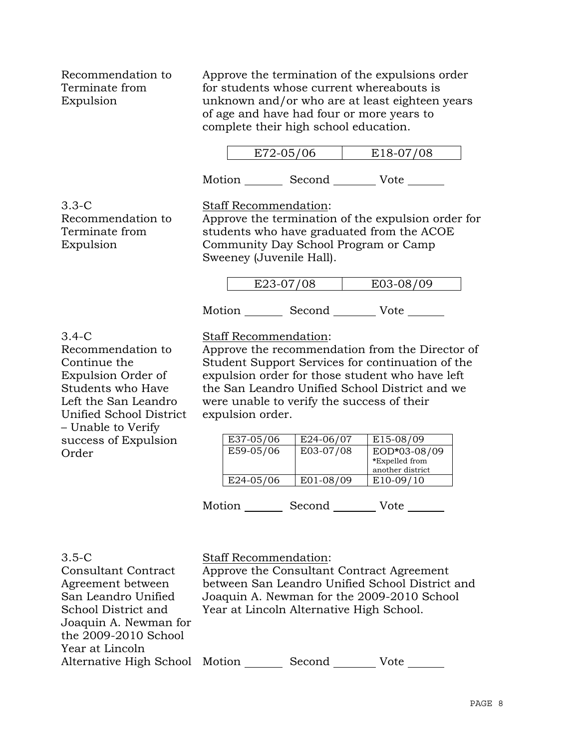Recommendation to Terminate from Expulsion

Approve the termination of the expulsions order for students whose current whereabouts is unknown and/or who are at least eighteen years of age and have had four or more years to complete their high school education.

| E72-05/06 | E18-07/08 |
|-----------|-----------|
|-----------|-----------|

Motion Second Vote

3.3-C Recommendation to Terminate from Expulsion

Staff Recommendation: Approve the termination of the expulsion order for students who have graduated from the ACOE

Community Day School Program or Camp Sweeney (Juvenile Hall).

| 72 N7 INQ | no ne inn |
|-----------|-----------|
|           |           |

Motion Second Vote

## 3.4-C

Recommendation to Continue the Expulsion Order of Students who Have Left the San Leandro Unified School District – Unable to Verify success of Expulsion Order

Staff Recommendation:

Approve the recommendation from the Director of Student Support Services for continuation of the expulsion order for those student who have left the San Leandro Unified School District and we were unable to verify the success of their expulsion order.

| E37-05/06 | E24-06/07 | E15-08/09        |
|-----------|-----------|------------------|
| E59-05/06 | E03-07/08 | EOD*03-08/09     |
|           |           | *Expelled from   |
|           |           | another district |
| E24-05/06 | E01-08/09 | $E10-09/10$      |

Motion Second Vote

#### 3.5-C Consultant Contract

Agreement between San Leandro Unified School District and Joaquin A. Newman for the 2009-2010 School

Year at Lincoln

Staff Recommendation:

Approve the Consultant Contract Agreement between San Leandro Unified School District and Joaquin A. Newman for the 2009-2010 School Year at Lincoln Alternative High School.

# Alternative High School Motion Second Vote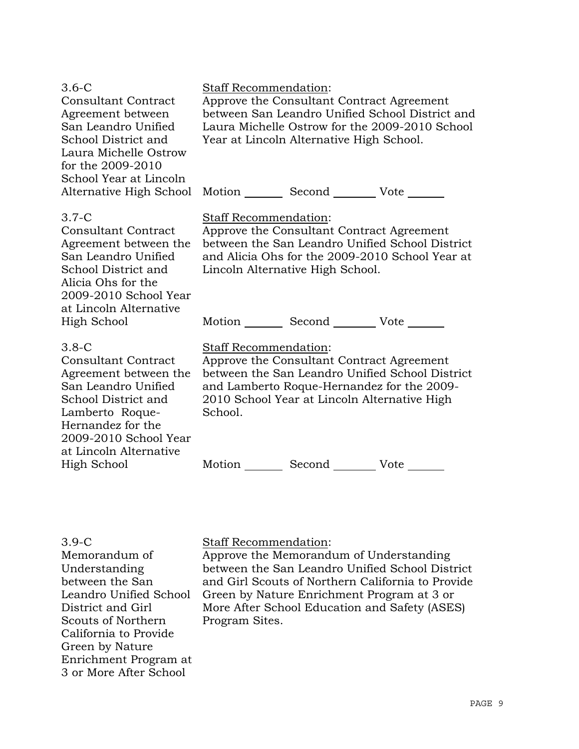| $3.6 - C$<br><b>Consultant Contract</b><br>Agreement between<br>San Leandro Unified<br>School District and<br>Laura Michelle Ostrow<br>for the 2009-2010<br>School Year at Lincoln                      | <b>Staff Recommendation:</b>            | Approve the Consultant Contract Agreement<br>Year at Lincoln Alternative High School.     | between San Leandro Unified School District and<br>Laura Michelle Ostrow for the 2009-2010 School  |
|---------------------------------------------------------------------------------------------------------------------------------------------------------------------------------------------------------|-----------------------------------------|-------------------------------------------------------------------------------------------|----------------------------------------------------------------------------------------------------|
| Alternative High School                                                                                                                                                                                 |                                         | Motion Second Vote                                                                        |                                                                                                    |
| $3.7-C$<br><b>Consultant Contract</b><br>Agreement between the<br>San Leandro Unified<br>School District and<br>Alicia Ohs for the<br>2009-2010 School Year<br>at Lincoln Alternative                   | <b>Staff Recommendation:</b>            | Approve the Consultant Contract Agreement<br>Lincoln Alternative High School.             | between the San Leandro Unified School District<br>and Alicia Ohs for the 2009-2010 School Year at |
| High School                                                                                                                                                                                             |                                         | Motion Second Vote                                                                        |                                                                                                    |
| $3.8-C$<br><b>Consultant Contract</b><br>Agreement between the<br>San Leandro Unified<br>School District and<br>Lamberto Roque-<br>Hernandez for the<br>2009-2010 School Year<br>at Lincoln Alternative | <b>Staff Recommendation:</b><br>School. | Approve the Consultant Contract Agreement<br>2010 School Year at Lincoln Alternative High | between the San Leandro Unified School District<br>and Lamberto Roque-Hernandez for the 2009-      |
| High School                                                                                                                                                                                             | Motion                                  | Second __________ Vote ___                                                                |                                                                                                    |

#### 3.9-C

Memorandum of Understanding between the San Leandro Unified School District and Girl Scouts of Northern California to Provide Green by Nature Enrichment Program at 3 or More After School

## Staff Recommendation:

Approve the Memorandum of Understanding between the San Leandro Unified School District and Girl Scouts of Northern California to Provide Green by Nature Enrichment Program at 3 or More After School Education and Safety (ASES) Program Sites.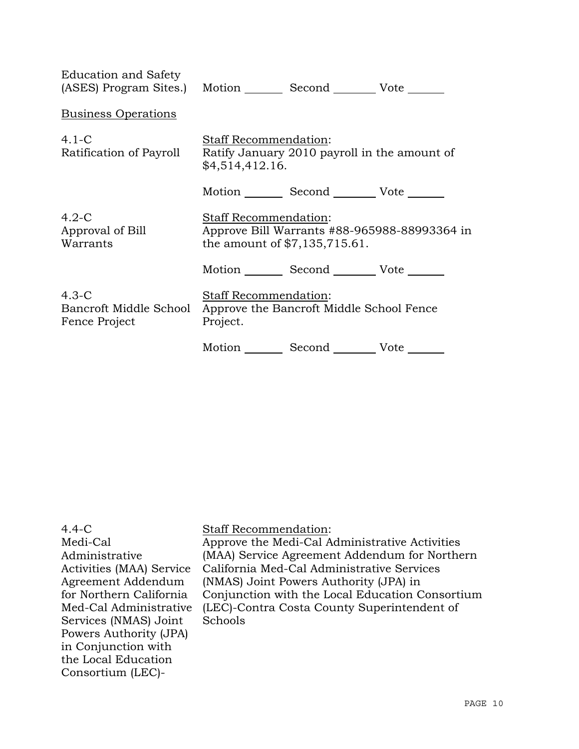| Education and Safety                               | (ASES) Program Sites.) Motion Second Vote                                                                       |
|----------------------------------------------------|-----------------------------------------------------------------------------------------------------------------|
| <b>Business Operations</b>                         |                                                                                                                 |
| $4.1-C$<br>Ratification of Payroll                 | Staff Recommendation:<br>Ratify January 2010 payroll in the amount of<br>\$4,514,412.16.                        |
|                                                    | Motion Second Vote                                                                                              |
| $4.2-C$<br>Approval of Bill<br>Warrants            | <b>Staff Recommendation:</b><br>Approve Bill Warrants #88-965988-88993364 in<br>the amount of $$7,135,715.61$ . |
|                                                    | Motion Second Vote                                                                                              |
| $4.3-C$<br>Bancroft Middle School<br>Fence Project | Staff Recommendation:<br>Approve the Bancroft Middle School Fence<br>Project.                                   |
|                                                    | Motion Second Vote                                                                                              |

| (LEC)-Contra Costa County Superintendent of<br>Schools | $4.4 - C$<br>Medi-Cal<br>Administrative<br>Activities (MAA) Service<br>Agreement Addendum<br>for Northern California<br>Med-Cal Administrative<br>Services (NMAS) Joint<br>Powers Authority (JPA)<br>in Conjunction with<br>the Local Education<br>Consortium (LEC)- | <b>Staff Recommendation:</b><br>Approve the Medi-Cal Administrative Activities<br>(MAA) Service Agreement Addendum for Northern<br>California Med-Cal Administrative Services<br>(NMAS) Joint Powers Authority (JPA) in<br>Conjunction with the Local Education Consortium |
|--------------------------------------------------------|----------------------------------------------------------------------------------------------------------------------------------------------------------------------------------------------------------------------------------------------------------------------|----------------------------------------------------------------------------------------------------------------------------------------------------------------------------------------------------------------------------------------------------------------------------|
|--------------------------------------------------------|----------------------------------------------------------------------------------------------------------------------------------------------------------------------------------------------------------------------------------------------------------------------|----------------------------------------------------------------------------------------------------------------------------------------------------------------------------------------------------------------------------------------------------------------------------|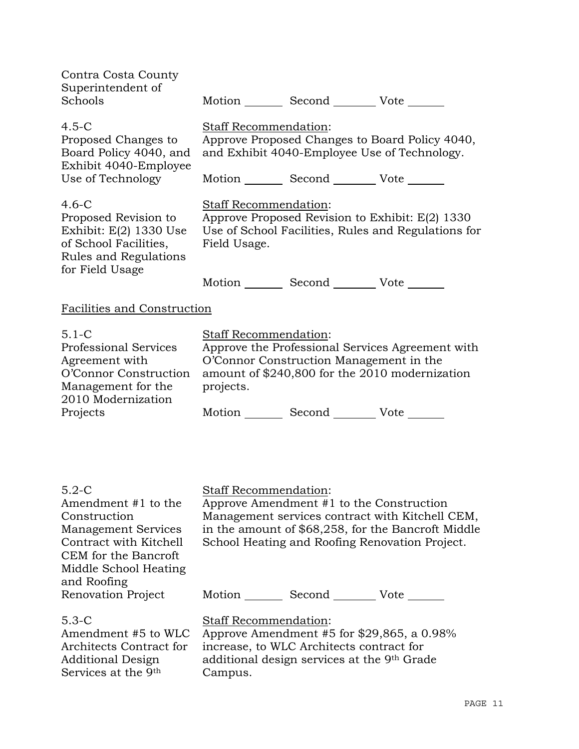| Contra Costa County<br>Superintendent of<br>Schools                                                                                                                    |                                                                                                                                                                                     | Motion Second Vote                                                                      |                                                                                                                                                         |  |
|------------------------------------------------------------------------------------------------------------------------------------------------------------------------|-------------------------------------------------------------------------------------------------------------------------------------------------------------------------------------|-----------------------------------------------------------------------------------------|---------------------------------------------------------------------------------------------------------------------------------------------------------|--|
| $4.5 - C$<br>Proposed Changes to<br>Board Policy 4040, and<br>Exhibit 4040-Employee                                                                                    | Staff Recommendation:<br>Approve Proposed Changes to Board Policy 4040,<br>and Exhibit 4040-Employee Use of Technology.                                                             |                                                                                         |                                                                                                                                                         |  |
| Use of Technology                                                                                                                                                      |                                                                                                                                                                                     | Motion Second Vote ______                                                               |                                                                                                                                                         |  |
| $4.6-C$<br>Proposed Revision to<br>Exhibit: $E(2)$ 1330 Use<br>of School Facilities,<br>Rules and Regulations                                                          | Staff Recommendation:<br>Approve Proposed Revision to Exhibit: E(2) 1330<br>Use of School Facilities, Rules and Regulations for<br>Field Usage.                                     |                                                                                         |                                                                                                                                                         |  |
| for Field Usage                                                                                                                                                        |                                                                                                                                                                                     | Motion _________ Second ___________ Vote _______                                        |                                                                                                                                                         |  |
| <b>Facilities and Construction</b>                                                                                                                                     |                                                                                                                                                                                     |                                                                                         |                                                                                                                                                         |  |
| $5.1 - C$<br><b>Professional Services</b><br>Agreement with<br>O'Connor Construction<br>Management for the<br>2010 Modernization                                       | Staff Recommendation:<br>Approve the Professional Services Agreement with<br>O'Connor Construction Management in the<br>amount of \$240,800 for the 2010 modernization<br>projects. |                                                                                         |                                                                                                                                                         |  |
| Projects                                                                                                                                                               |                                                                                                                                                                                     | Motion _________ Second __________ Vote _______                                         |                                                                                                                                                         |  |
| $5.2-C$<br>Amendment #1 to the<br>Construction<br><b>Management Services</b><br>Contract with Kitchell<br>CEM for the Bancroft<br>Middle School Heating<br>and Roofing | <b>Staff Recommendation:</b>                                                                                                                                                        | Approve Amendment #1 to the Construction                                                | Management services contract with Kitchell CEM,<br>in the amount of \$68,258, for the Bancroft Middle<br>School Heating and Roofing Renovation Project. |  |
| Renovation Project                                                                                                                                                     |                                                                                                                                                                                     | Motion _________ Second __________ Vote _______                                         |                                                                                                                                                         |  |
| $5.3-C$<br>Amendment #5 to WLC<br>Architects Contract for<br><b>Additional Design</b>                                                                                  | Staff Recommendation:                                                                                                                                                               | increase, to WLC Architects contract for<br>additional design services at the 9th Grade | Approve Amendment #5 for $$29,865$ , a 0.98%                                                                                                            |  |

Campus.

Services at the 9th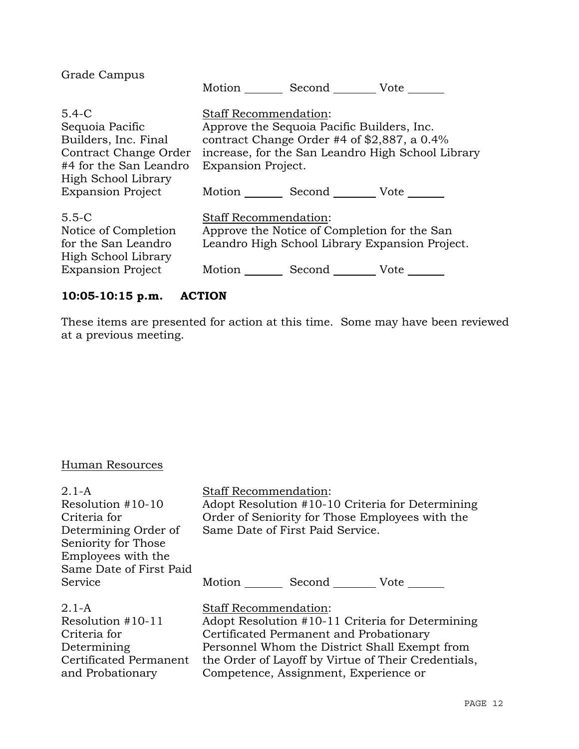| Grade Campus                                                                                                                   | Motion Second Vote                                                                                                                                       |                                                   |
|--------------------------------------------------------------------------------------------------------------------------------|----------------------------------------------------------------------------------------------------------------------------------------------------------|---------------------------------------------------|
| $5.4 - C$<br>Sequoia Pacific<br>Builders, Inc. Final<br>Contract Change Order<br>#4 for the San Leandro<br>High School Library | <b>Staff Recommendation:</b><br>Approve the Sequoia Pacific Builders, Inc.<br>contract Change Order #4 of $$2,887$ , a 0.4%<br><b>Expansion Project.</b> | increase, for the San Leandro High School Library |
| <b>Expansion Project</b>                                                                                                       | Motion Second Vote                                                                                                                                       |                                                   |
| $5.5 - C$<br>Notice of Completion<br>for the San Leandro<br>High School Library<br><b>Expansion Project</b>                    | Staff Recommendation:<br>Approve the Notice of Completion for the San<br>Motion Second Vote                                                              | Leandro High School Library Expansion Project.    |

# **10:05-10:15 p.m. ACTION**

These items are presented for action at this time. Some may have been reviewed at a previous meeting.

# Human Resources

| $2.1 - A$<br>Resolution #10-10<br>Criteria for<br>Determining Order of<br>Seniority for Those<br>Employees with the<br>Same Date of First Paid | <b>Staff Recommendation:</b><br>Adopt Resolution #10-10 Criteria for Determining<br>Order of Seniority for Those Employees with the<br>Same Date of First Paid Service. |
|------------------------------------------------------------------------------------------------------------------------------------------------|-------------------------------------------------------------------------------------------------------------------------------------------------------------------------|
| Service                                                                                                                                        | Motion<br>Second Vote                                                                                                                                                   |
| $2.1-A$                                                                                                                                        | <b>Staff Recommendation:</b>                                                                                                                                            |
| Resolution $#10-11$                                                                                                                            | Adopt Resolution #10-11 Criteria for Determining                                                                                                                        |
| Criteria for                                                                                                                                   | Certificated Permanent and Probationary                                                                                                                                 |
| Determining                                                                                                                                    | Personnel Whom the District Shall Exempt from                                                                                                                           |
| Certificated Permanent                                                                                                                         | the Order of Layoff by Virtue of Their Credentials,                                                                                                                     |
| and Probationary                                                                                                                               | Competence, Assignment, Experience or                                                                                                                                   |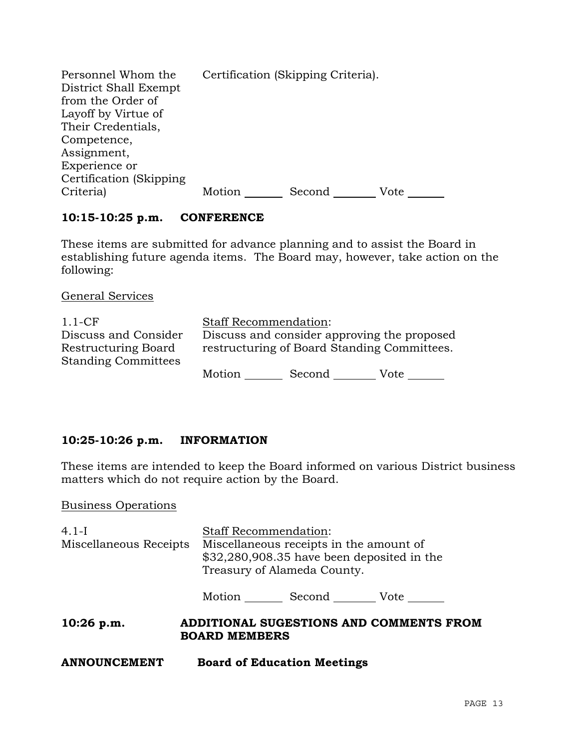| Personnel Whom the<br>District Shall Exempt<br>from the Order of<br>Layoff by Virtue of |        | Certification (Skipping Criteria). |      |
|-----------------------------------------------------------------------------------------|--------|------------------------------------|------|
| Their Credentials,                                                                      |        |                                    |      |
| Competence,                                                                             |        |                                    |      |
| Assignment,                                                                             |        |                                    |      |
| Experience or                                                                           |        |                                    |      |
| Certification (Skipping)                                                                |        |                                    |      |
| Criteria)                                                                               | Motion | Second                             | Vote |

# **10:15-10:25 p.m. CONFERENCE**

These items are submitted for advance planning and to assist the Board in establishing future agenda items. The Board may, however, take action on the following:

General Services

| $1.1$ -CF                  | <b>Staff Recommendation:</b>                |        |      |  |
|----------------------------|---------------------------------------------|--------|------|--|
| Discuss and Consider       | Discuss and consider approving the proposed |        |      |  |
| Restructuring Board        | restructuring of Board Standing Committees. |        |      |  |
| <b>Standing Committees</b> |                                             |        |      |  |
|                            | Motion                                      | Second | Vote |  |

# **10:25-10:26 p.m. INFORMATION**

These items are intended to keep the Board informed on various District business matters which do not require action by the Board.

Business Operations

| $4.1-I$                | <b>Staff Recommendation:</b>                                                                                          |                                    |                                         |
|------------------------|-----------------------------------------------------------------------------------------------------------------------|------------------------------------|-----------------------------------------|
| Miscellaneous Receipts | Miscellaneous receipts in the amount of<br>$$32,280,908.35$ have been deposited in the<br>Treasury of Alameda County. |                                    |                                         |
|                        |                                                                                                                       | Motion Second Vote                 |                                         |
| $10:26$ p.m.           | <b>BOARD MEMBERS</b>                                                                                                  |                                    | ADDITIONAL SUGESTIONS AND COMMENTS FROM |
| <b>ANNOUNCEMENT</b>    |                                                                                                                       | <b>Board of Education Meetings</b> |                                         |